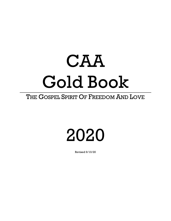# CAA Gold Book

### THE GOSPEL SPIRIT OF FREEDOM AND LOVE

## 2020

Revised 9/10/20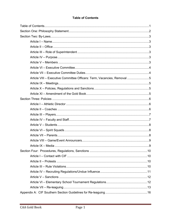#### **Table of Contents**

<span id="page-1-0"></span>

| Article VIII - Executive Committee Officers: Term, Vacancies, Removal 5 |  |
|-------------------------------------------------------------------------|--|
|                                                                         |  |
|                                                                         |  |
|                                                                         |  |
|                                                                         |  |
|                                                                         |  |
|                                                                         |  |
|                                                                         |  |
|                                                                         |  |
|                                                                         |  |
|                                                                         |  |
|                                                                         |  |
|                                                                         |  |
|                                                                         |  |
|                                                                         |  |
|                                                                         |  |
|                                                                         |  |
|                                                                         |  |
|                                                                         |  |
|                                                                         |  |
|                                                                         |  |
|                                                                         |  |
|                                                                         |  |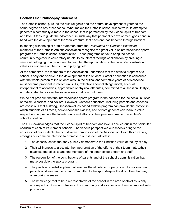#### <span id="page-2-0"></span>**Section One: Philosophy Statement**

The Catholic school pursues the cultural goals and the natural development of youth to the same degree as any other school. What makes the Catholic school distinctive is its attempt to generate a community climate in the school that is permeated by the Gospel spirit of freedom and love. It tries to guide the adolescent in such way that personality development goes hand in hand with the development of the 'new creature' that each one has become through baptism.

In keeping with the spirit of this statement from the *Declaration on Christian Education*, members of the Catholic Athletic Association recognize the great value of interscholastic sports programs to Catholic school communities. These programs serve to bring the school community together in celebratory rituals, to counteract feelings of alienation by creating a sense of belonging to a group, and to heighten the appreciation of the public demonstration of values as evidence on the court and playing field.

At the same time, the members of the Association understand that the athletic program of a school is only one vehicle in the development of the student. Catholic education is concerned with the whole person of the student who, in the critical and formative years of adolescence, must become proficient in intellectual skills, reflective about all things moral, adept at interpersonal relationships, appreciative of physical attributes, committed to a Christian lifestyle, and dedicated to resolve the social issues that confront them.

We do not proclaim that the interscholastic sports program is the panacea for the social injustice of racism, classism, and sexism. However, Catholic educators--including parents and coaches- are conscious that a strong, Christian-values based athletic program can provide the context in which students of all races, socio-economic classes, and of both genders can learn to value, respect and appreciate the talents, skills and efforts of their peers--no matter the athlete's school affiliation.

The CAA acknowledges that the Gospel spirit of freedom and love is spelled out in the particular charism of each of its member schools. The various perspectives our schools bring to the education of our students the rich, diverse composition of the Association. From this diversity, emerges our common intention to promote in our student athletes:

- 1. The consciousness that they publicly demonstrate the Christian value of the joy of play;
- 2. Their willingness to articulate their appreciation of the efforts of their team mates,their coaches, the officials, and the members of the other school's team and staff;
- 3. The recognition of the contributions of parents and of the school's administration that make possible the sports program;
- 4. The practice of self-discipline that enables the athlete to properly control emotions during periods of stress, and to remain committed to the sport despite the difficulties that may arise during a season;
- 5. The knowledge that to be a representative of the school in the area of athletics is only one aspect of Christian witness to the community and as a service does not support selfpromotion.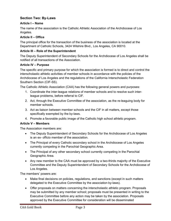#### <span id="page-3-0"></span>**Section Two: By-Laws**

#### <span id="page-3-1"></span>**Article I – Name**

The name of the association is the Catholic Athletic Association of the Archdiocese of Los Angeles.

#### <span id="page-3-2"></span>**Article II – Office**

The principal office for the transaction of the business of the association is located at the Department of Catholic Schools, 3424 Wilshire Blvd., Los Angeles, CA 90010.

#### **Article III – Role of the Superintendent**

The Deputy Superintendent of Secondary Schools for the Archdiocese of Los Angeles shall be notified of all transactions of the Association.

#### <span id="page-3-3"></span>**Article IV – Purpose**

The specific and primary purpose for which the association is formed is to direct and control the interscholastic athletic activities of member schools in accordance with the policies of the Archdiocese of Los Angeles and the regulations of the California Interscholastic Federation Southern Section (CIF-SS).

The Catholic Athletic Association (CAA) has the following general powers and purposes:

- 1. Coordinate the inter-league relations of member schools and to resolve such interleague problems, before referral to CIF.
- 2. Act, through the Executive Committee of the association, as the re-leaguing body for member schools.
- 3. Act as liaison between member schools and the CIF in all matters, except those specifically exempted by the by-laws.
- 4. Promote a favorable public image of the Catholic high school athletic program.

#### <span id="page-3-4"></span>**Article V – Members**

The Association members are:

- The Deputy Superintendent of Secondary Schools for the Archdiocese of Los Angeles is an ex- officio member of the association.
- The Principal of every Catholic secondary school in the Archdiocese of Los Angeles currently competing in the Parochial Geographic Area.
- The Principal of any other secondary school currently competing in the Parochial Geographic Area.
- Any new member to the CAA must be approved by a two-thirds majority of the Executive Committee and the Deputy Superintendent of Secondary Schools for the Archdiocese of Los Angeles.

The members' powers are:

- Make final decisions on policies, regulations, and sanctions (except in such matters delegated to the Executive Committee by the association by-laws).
- Offer proposals on matters concerning the interscholastic athletic program. Proposals may be submitted by any member school; proposals must be presented in writing to the Executive Committee before any action may be taken by the association. Proposals approved by the Executive Committee for consideration will be disseminated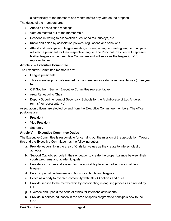electronically to the members one month before any vote on the proposal.

The duties of the members are:

- Attend all association meetings.
- Vote on matters put to the membership.
- Respond in writing to association questionnaires, surveys, etc.
- Know and abide by association policies, regulations and sanctions.
- Attend and participate in league meetings. During a league meeting league principals will elect a president for their respective league. The Principal President will represent his/her league on the Executive Committee and will serve as the league CIF-SS representative.

#### <span id="page-4-0"></span>**Article VI – Executive Committee**

The Executive Committee members are:

- League presidents
- Three member principals elected by the members as at-large representatives (three year term)
- CIF Southern Section Executive Committee representative
- Area Re-leaguing Chair
- Deputy Superintendent of Secondary Schools for the Archdiocese of Los Angeles (or his/her representative)

Association officers are elected by and from the Executive Committee members. The officer positions are:

- President
- Vice-President
- Secretary

#### <span id="page-4-1"></span>**Article VII – Executive Committee Duties**

The Executive Committee is responsible for carrying out the mission of the association. Toward this end the Executive Committee has the following duties:

- a. Provide leadership in the area of Christian values as they relate to interscholastic athletics.
- b. Support Catholic schools in their endeavor to create the proper balance between their sports programs and academic goals.
- c. Provide a structure and system for the equitable placement of schools in athletic leagues.
- d. Be an impartial problem-solving body for schools and leagues.
- e. Serve as a body to oversee conformity with CIF-SS policies and rules.
- f. Provide service to the membership by coordinating releaguing process as directed by CIF.
- g. Oversee and uphold the code of ethics for interscholastic sports.
- h. Provide in-service education in the area of sports programs to principals new to the CAA.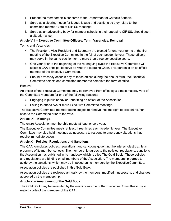- i. Present the membership's concerns to the Department of Catholic Schools.
- j. Serve as a clearing-house for league issues and positions as they relate to the committee member' vote at CIF-SS meetings.
- k. Serve as an advocating body for member schools in their appeal to CIF-SS, should such a situation arise.

#### <span id="page-5-0"></span>**Article VIII – Executive Committee Officers: Term, Vacancies, Removal**

Terms and Vacancies

- The President, Vice-President and Secretary are elected for one-year terms at the first meeting of the Executive Committee in the fall of each academic year. These officers may serve in the same position for no more than three consecutive years.
- One year prior to the beginning of the re-leaguing cycle the Executive Committee will select a CAA principal to serve as Area Re-leaguing Chair. This person is an ex officio member of the Executive Committee.
- Should a vacancy occur in any of these offices during the annual term, the Executive Committee selects one committee member to complete the term of office.

#### Removal

An officer of the Executive Committee may be removed from office by a simple majority vote of the Committee members for one of the following reasons:

- Engaging in public behavior unbefitting an officer of the Association.
- Failing to attend two or more Executive Committee meetings.

The Executive Committee member being subject to removal has the right to present his/her case to the Committee prior to the vote.

#### <span id="page-5-1"></span>**Article IX – Meetings**

The entire Association membership meets at least once a year.

The Executive Committee meets at least three times each academic year. The Executive Committee may also hold meetings as necessary to respond to emergency situations that require immediate action.

#### <span id="page-5-2"></span>**Article X – Policies, Regulations and Sanctions**

The CAA formulates policies, regulations, and sanctions governing the interscholastic athletic programs of its member schools. The membership agrees to the policies, regulations, sanctions the Association has published in its handbook which is titled The Gold Book. These policies and regulations are binding on all members of the Association. The membership agrees to abide by the sanctions, which may be imposed on its members by the Executive Committee.

Association policies are published in this Gold Book.

Association policies are reviewed annually by the members, modified if necessary, and changes approved by the membership.

#### <span id="page-5-3"></span>**Article XI – Amendment of the Gold Book**

The Gold Book may be amended by the unanimous vote of the Executive Committee or by a majority vote of the members of the CAA.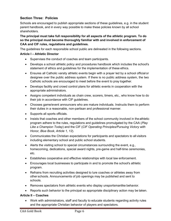#### <span id="page-6-0"></span>**Section Three: Policies**

Schools are encouraged to publish appropriate sections of these guidelines, e.g. in the student parent handbook, and in every way possible to make these policies known by all school shareholders.

#### **The principal must take full responsibility for all aspects of the athletic program. To do so the principal must become thoroughly familiar with and involved in enforcement of CAA and CIF rules, regulations and guidelines.**

The guidelines for each responsible school public are delineated in the following sections.

#### <span id="page-6-1"></span>**Article I – Athletic Director**

- Supervises the conduct of coaches and team participants.
- Develops a school athletic policy and procedures handbook which includes the school's statement of ethics and guidelines for the implementation of these ethics.
- Ensures all Catholic varsity athletic events begin with a prayer led by a school official or designee over the public address system. If there is no public address system, the two Catholic schools are encouraged to meet before the event to pray together.
- Develops facility and crowd control plans for athletic events in cooperation with the appropriate administrators.
- Assigns competent individuals as chain crew, scorers, timers, etc., who know how to do their job in accordance with CIF guidelines.
- Chooses game/event announcers who are mature individuals. Instructs them to perform their duties in a reasonable, non-partisan and professional manner.
- Supports all sports officials.
- Insists that coaches and other members of the school community involved in the athletic program adhere to the rules, regulations and guidelines promulgated by the CAA (*Play Like a Champion Today*) and the CIF (*CIF Operating Principles/Pursuing Victory with Honor, Blue Book, Article 1, 12*).
- Communicates the Christian expectations for participants and spectators to all visitors including elementary school and public school students.
- Alerts the visiting school to special circumstances surrounding the event, e.g., homecoming, dedications, special award nights, pre-game and half-time ceremonies, etc.
- Establishes cooperative and effective relationships with local law enforcement.
- Encourages local businesses to participate in and to promote the school's athletic program.
- Refrains from recruiting activities designed to lure coaches or athletes away from other schools. Announcements of job openings may be published and sent to schools.
- Removes spectators from athletic events who display unsportsmanlike behavior.
- Reports such behavior to the principal so appropriate disciplinary action may be taken.

#### <span id="page-6-2"></span>**Article II – Coaches**

• Work with administrators, staff and faculty to educate students regarding activity rules and the appropriate Christian behavior of players and spectators.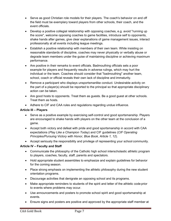- Serve as good Christian role models for their players. The coach's behavior on and off the field must be exemplary toward players from other schools, their coach, and the event officials.
- Develop a positive collegial relationship with opposing coaches, e.g. avoid "running up the score", welcome opposing coaches to game facilities, introduce self to opponents, shake hands after games, give clear explanations of game management issues, interact professionally at all events including league meetings.
- Establish a positive relationship with members of their own team. While insisting on reasonable standards of discipline, coaches may never physically or verbally abuse or degrade team members under the guise of maintaining discipline or achieving maximum performance.
- Are positive in their remarks to event officials. Badmouthing officials sets a poor example for players and frequently results in adverse rulings, which may hurt the individual or the team. Coaches should consider that "badmouthing" another team, school, coach or official reveals their own lack of discipline and immaturity.
- Remove a participant who displays unsportsmanlike conduct. Undesirable activity on the part of a player(s) should be reported to the principal so that appropriate disciplinary action can be taken.
- Are good hosts to opponents. Treat them as guests. Be a good guest at other schools. Treat them as hosts.
- Adhere to CIF and CAA rules and regulations regarding undue influence.

#### <span id="page-7-0"></span>**Article III – Players**

- Serve as a positive example by exercising self-control and good sportsmanship. Players are encouraged to shake hands with players on the other team at the conclusion of a game.
- Accept both victory and defeat with pride and good sportsmanship in accord with CAA expectations (*Play Like a Champion Today*) and CIF guidelines (*CIF Operating Principles/Pursuing Victory with Honor, Blue Book, Article 1, 12*).
- Accept seriously the responsibility and privilege of representing your school community.

#### <span id="page-7-1"></span>**Article IV – Faculty and Staff**

- Communicate the philosophy of the Catholic high school interscholastic athletic program to players, coaches, faculty, staff, parents and spectators.
- Hold appropriate student assemblies to emphasize and explain guidelines for behavior for the coming season.
- Place strong emphasis on implementing the athletic philosophy during the new student orientation programs.
- Discourage activities that denigrate an opposing school and its programs.
- Make appropriate reminders to students of the spirit and letter of the athletic code prior to events where problems may occur.
- Use announcements and posters to promote school spirit and good sportsmanship at events.
- Ensure signs and posters are positive and approved by the appropriate staff member at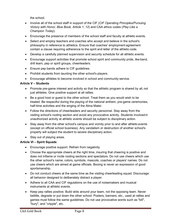the school.

- Involve all of the school staff in support of the CIF (*CIF Operating Principles/Pursuing Victory with Honor, Blue Book, Article 1, 12*) and CAA ethics codes (*Play Like a Champion Today*).
- Encourage the presence of members of the school staff and faculty at athletic events.
- Select and employ teachers and coaches who accept and believe in the school's philosophy in reference to athletics. Ensure that coaches' employment agreement contain a clause requiring adherence to the spirit and letter of the athletic code.
- Develop a carefully planned supervision and security schedule for all athletic events.
- Encourage support activities that promote school spirit and community pride, like band, drill team, pep or spirit groups, cheerleaders.
- Ensure pep bands adhere to CIF guidelines.
- Prohibit students from taunting the other school's players.
- Encourage athletes to become involved in school and community service.

#### <span id="page-8-0"></span>**Article V – Students**

- Promote pre-game interest and activity so that the athletic program is shared by all, not just athletes. Give positive support at all rallies.
- Be a good host or guest to the other school. Treat them as you would wish to be treated. Be respectful during the playing of the national anthem, pre-game ceremonies, half-time activities and the singing of the Alma Mater.
- Follow the directions of cheerleaders and security personnel. Stay away from the visiting school's rooting section and avoid any provocative activity. Students involved in unauthorized activity at athletic events should be subject to disciplinary action.
- Stay away from the other school's campus and vicinity prior to and after athletic events (except on official school business). Any vandalism or destruction of another school's property will subject the student to severe disciplinary action.
- Stay out of playing areas.

#### <span id="page-8-1"></span>**Article VI – Spirit Squads**

- Encourage positive support. Refrain from negativity.
- Choose the appropriate cheers at the right time, insuring that cheering is positive and does not inflame or incite rooting sections and spectators. Do not use cheers which use the other school's name, colors, symbols, mascots, coaches or players' names. Do not use cheers which are aimed at game officials. Booing is never an expression of good sportsmanship.
- Do not conduct cheers at the same time as the visiting cheerleading squad. Discourage all behavior designed to deliberately distract a player.
- Adhere to all CAA and CIF regulations on the use of noisemakers and musical instruments at athletic events.
- Keep pep rallies positive. Build skits around your team, not the opposing team. Never belittle, degrade or put down the other school. Posters, banners, etc., used at rallies and games must follow the same guidelines. Do not use provocative words such as "kill", "bury", and "cripple", etc.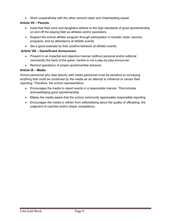• Work cooperatively with the other school's team and cheerleading squad.

#### <span id="page-9-0"></span>**Article VII – Parents**

- Insist that their sons and daughters adhere to the high standards of good sportsmanship on and off the playing field as athletes and/or spectators.
- Support the school athletic program through participation in booster clubs, security programs, and by attendance at athletic events.
- Set a good example by their positive behavior at athletic events.

#### <span id="page-9-1"></span>**Article VIII – Game/Event Announcers**

- Present in an impartial and objective manner (without personal and/or editorial comments) the facts of the game; he/she is not a play-by-play announcer.
- Remind spectators of proper sportsmanlike behavior.

#### <span id="page-9-2"></span>**Article IX – Media**

School personnel who deal directly with media personnel must be sensitive to conveying anything that could be construed by the media as an attempt to influence or censor their reporting. Therefore, the school representative:

- Encourages the media to report events in a responsible manner. This includes acknowledging good sportsmanship.
- Makes the media aware that the school community appreciates responsible reporting.
- Encourages the media to refrain from editorializing about the quality of officiating, the judgment of coaches and/or player competency.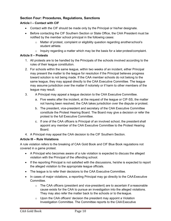#### <span id="page-10-0"></span>**Section Four: Procedures, Regulations, Sanctions**

#### <span id="page-10-1"></span>**Article I – Contact with CIF**

- Contact with the CIF should be made only by the Principal or his/her designate.
- Before contacting the CIF Southern Section or State Office, the CAA President must be notified by the member school principal in the following cases:
	- $\circ$  Matter of protest, complaint or eligibility question regarding anotherschool's student athlete.
	- $\circ$  Inquiry regarding a matter which may be the basis for a later protest/complaint.

#### <span id="page-10-2"></span>**Article II – Protests**

- 1. All protests are to be handled by the Principals of the schools involved according to the rules of their league constitution.
- 2. For schools within the same league, within two weeks of an incident, either Principal may present the matter to the league for resolution if the Principal believes progress toward solution is not being made. If the CAA member schools do not belong to the same league, they may appeal directly to the CAA Executive Committee. The league may assume jurisdiction over the matter if notoriety or if harm to other members of the league may result.
- 3. A Principal may appeal a league decision to the CAA Executive Committee.
	- a. Five weeks after the incident, at the request of the league or CIF-SS, the matter not having been resolved, the CAA takes jurisdiction over the dispute or protest.
	- b. The president, vice-president and secretary of the CAA Executive Committee constitute the Protest Hearing Board. The Board may give a decision or refer the protest to the full Executive Committee.
	- c. If one of the CAA officers is Principal of an involved school, the president shall appoint any member of the CAA Executive Committee to the Protest Hearing Board.
- 4. A Principal may appeal the CAA decision to the CIF Southern Section.

#### <span id="page-10-3"></span>**Article III – Rule Violations**

A rule violation refers to the breaking of CAA Gold Book and CIF Blue Book regulations not covered in a game protest.

- A Principal who becomes aware of a rule violation is expected to discuss the alleged violation with the Principal of the offending school.
- If the reporting Principal is not satisfied with the discussions, he/she is expected to report the alleged violation to the appropriate league officials.
- The league is to refer their decisions to the CAA Executive Committee.
- In cases of major violations, a reporting Principal may go directly to the CAA Executive Committee.
	- $\circ$  The CAA officers (president and vice-president) are to ascertain if a reasonable cause exists for the CAA to pursue an investigation into the alleged violations. They may also refer the matter back to the schools or to the league.
	- $\circ$  Upon the CAA officers' decision the president may appoint a Violation Investigation Committee. The Committee reports to the CAA Executive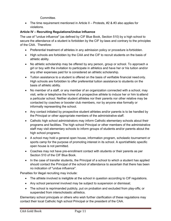**Committee** 

• The time requirement mentioned in Article II – Protests,  $#2 \& #3$  also applies for violations.

#### <span id="page-11-0"></span>**Article IV – Recruiting Regulations/Undue Influence**

The use of "undue influence" (as defined by CIF Blue Book, Section 510) by a high school to secure the attendance of a student is forbidden by the CIF by-laws and contrary to the principles of the CAA. Therefore:

- Preferential treatment of athletes in any admission policy or procedure is forbidden.
- High schools are forbidden by the CAA and the CIF to recruit students on the basis of athletic ability.
- No athletic scholarship may be offered by any person, group or school. To approach a girl or boy with the invitation to participate in athletics and have her or his tuition and/or any other expenses paid for is considered an athletic scholarship.
- Tuition assistance to a student is offered on the basis of verifiable financial need only. High schools are forbidden to offer preferential tuition assistance to students on the basis of athletic ability.
- No member of a staff, or any member of an organization connected with a school, may visit, write or telephone the home of a prospective athlete to induce her or him toattend a particular school. Neither student athletes nor their parents nor other relative may be contacted by coaches or booster club members, nor by anyone else formally or informally representing the school.
- Any contact initiated by prospective student athletes and/or parents is to be handled by the Principal or other appropriate members of the administrative staff.
- Catholic high school administrators may inform Catholic elementary schools about their programs and facilities. The high school Principal or other members of the administrative staff may visit elementary schools to inform groups of students and/or parents about the high school programs.
- A school may hold a general open house, information program, scholastic tournament or sports camp for the purpose of promoting interest in its school. A sport/athletic specific open house is not permitted.
- Coaches may not have pre-enrollment contact with students or their parents as per Section 510 of the CIF Blue Book.
- In the case of transfer students, the Principal of a school to which a student has applied should contact the Principal of the school of attendance to ascertain that there has been no indication of "undue influence".

Penalties for illegal recruiting may include:

- The athlete involved is ineligible at the school in question according to CIF regulations.
- Any school personnel involved may be subject to suspension or dismissal;
- The school is reprimanded publicly, put on probation and excluded from play-offs; or suspended from interscholastic athletics.

Elementary school principals or others who wish further clarification of these regulations may contact their local Catholic high school Principal or the president of the CAA.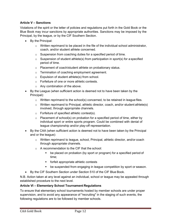#### <span id="page-12-0"></span>**Article V – Sanctions**

Violations of the spirit or the letter of policies and regulations put forth in the Gold Book or the Blue Book may incur sanctions by appropriate authorities. Sanctions may be imposed by the Principal, by the league, or by the CIF Southern Section.

- By the Principal:
	- $\circ$  Written reprimand to be placed in the file of the individual school administrator, coach, and/or student athlete concerned.
	- o Suspension from coaching duties for a specified period of time.
	- $\circ$  Suspension of student athlete(s) from participation in sport(s) for a specified period of time.
	- o Placement of coach/student athlete on probationary status.
	- o Termination of coaching employment agreement.
	- o Expulsion of student athlete(s) from school.
	- o Forfeiture of one or more athletic contests.
	- o Any combination of the above.
- By the League (when sufficient action is deemed not to have been taken by the Principal):
	- o Written reprimand to the school(s) concerned, to be retained in league files.
	- $\circ$  Written reprimand to Principal, athletic director, coach, and/or student athlete(s) involved, through appropriate channels.
	- $\circ$  Forfeiture of specified athletic contest(s).
	- $\circ$  Placement of school(s) on probation for a specified period of time, either by individual sport or entire sports program. Could be combined with denial of league championship and/or play-off representation.
- By the CAA (when sufficient action is deemed not to have been taken by the Principal and or the league):
	- o Written reprimand to league, school, Principal, athletic director, and/or coach through appropriate channels.
	- o A recommendation to the CIF that the school:
		- be placed on probation (by sport or program) for a specified period of time;
		- forfeit appropriate athletic contests
		- be suspended from engaging in league competition by sport or season.
- By the CIF Southern Section under Section 510 of the CIF Blue Book.

N.B. Action taken at any level against an individual, school or league may be appealed through established procedure to the next level.

#### <span id="page-12-1"></span>**Article VI – Elementary School Tournament Regulations**

To ensure that elementary school tournaments hosted by member schools are under proper supervision, and to avoid any appearance of "recruiting" in the staging of such events, the following regulations are to be followed by member schools.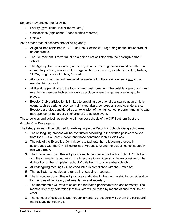Schools may provide the following:

- Facility (gym, fields, locker rooms, etc.)
- Concessions (high school keeps monies received)
- Officials

As to other areas of concern, the following apply:

- All quidelines contained in CIF Blue Book Section 510 regarding undue influence must be adhered to.
- The Tournament Director must be a person not affiliated with the hosting member school.
- The Agency that is conducting an activity at a member high school must be either an elementary school, service club or organization such as Boys club, Lions club, Rotary, YMCA, Knights of Columbus, NJB, etc.
- All checks for tournament fees must be made out to the outside agency **not** to the member high school.
- All literature pertaining to the tournament must come from the outside agency and must refer to the member high school only as a place where the games are going to be played.
- Booster Club participation is limited to providing operational assistance at an athletic event, such as parking, door control, ticket takers, concession stand operators, etc. Boosters are also considered as an extension of the high school program and in no way may sponsor or be directly in charge of the athletic event.

These policies and guidelines apply to all member schools of the CIF Southern Section.

#### <span id="page-13-0"></span>**Article VII – Re-leaguing**

The listed policies will be followed for re-leaguing in the Parochial Schools Geographic Area:

- 1. The re-leaguing process will be conducted according to the written policies received from the CIF Southern Section and those contained in this Gold Book.
- 2. The role of the Executive Committee is to facilitate the re-leaguing process in accordance with the CIF-SS guidelines (Appendix A) and the guidelines delineated in this Gold Book.
- 3. The Executive Committee will provide each member school with a School Profile Form and the criteria for re-leaguing. The Executive Committee shall be responsible for the distribution of the completed School Profile Forms to all member schools.
- 4. All re-leaguing meetings will be conducted in compliance with the Brown Act.
- 5. The facilitator schedules and runs all re-leaguing meetings.
- 6. The Executive Committee will propose candidates to the membership for consideration for the roles of facilitator, parliamentarian and secretary.
- 7. The membership will vote to select the facilitator, parliamentarian and secretary. The membership may determine that this vote will be taken by means of snail mail, fax or email.
- 8. The concept of collegiality and not parliamentary procedure will govern the conduct of the re-leaguing meetings.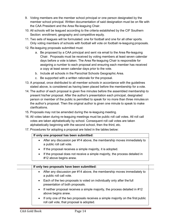- 9. Voting members are the member school principal or one person designated by the member school principal. Written documentation of said designation must be on file with the CAA President and the Area Re-leaguing Chair.
- 10. All schools will be leagued according to the criteria established by the CIF Southern Section: enrollment, geography and competitive equity.
- 11. Two sets of leagues will be formulated: one for football and one for all other sports. Only voting members of schools with football will vote on football re-leaguing proposals.
- 12. Re-leaguing proposals submitted must:
	- a. Be proposed by a CAA principal and sent via email to the Area Re-leaguing Chair. Proposals must be received by voting members at least seven calendar days before a vote is taken. The Area Re-leaguing Chair is responsible for assigning a number to each proposal and ensuring each member has received a copy at least seven calendar days prior to the vote.
	- b. Include all schools in the Parochial Schools Geographic Area.
	- c. Be supported with a written rationale for the proposal.
- 13. A proposal, once distributed to all member schools in accordance with the guidelines stated above, is considered as having been placed before the membership for a vote.
- 14. The author of each proposal is given five minutes before the assembled membership to present his/her proposal. After the author's presentation each principal, designated person or member of the public is permitted to speak for no more than three minutes on the author's proposal. Then the original author is given one minute to speak to make clarifications.
- 15. Proposals may not be amended during the re-leaguing meeting.
- 16. All votes taken during re-leaguing meetings must be public roll call votes. All roll call votes are taken alphabetically by school. Consequent roll call votes are taken alphabetically beginning with the second school, then the third, etc.
- 17. Procedures for adopting a proposal are listed in the tables below:

#### **If only one proposal has been submitted:**

- After any discussion per #14 above, the membership moves immediately to a public roll call vote.
- If the proposal receives a simple majority, it is adopted.
- If the proposal does not receive a simple majority, the process detailed in #12 above begins anew.

| If only two proposals have been submitted:                                                                                                |  |
|-------------------------------------------------------------------------------------------------------------------------------------------|--|
| After any discussion per #14 above, the membership moves immediately to<br>$\bullet$<br>a public roll call vote.                          |  |
| Each of the two proposals is voted on individually only after the full<br>$\bullet$<br>presentation of both proposals.                    |  |
| If neither proposal receives a simple majority, the process detailed in #12<br>$\bullet$<br>above begins anew.                            |  |
| If only one of the two proposals receives a simple majority on the first public<br>$\bullet$<br>roll call vote, that proposal is adopted. |  |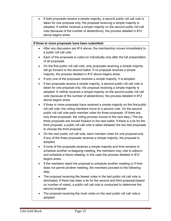If both proposals receive a simple majority, a second public roll call vote is taken for one proposal only; the proposal receiving a simple majority is adopted. If neither receives a simple majority on the second public roll call vote (because of the number of abstentions), the process detailed in #12 above begins anew.

#### **If three or more proposals have been submitted:**

- After any discussion per #14 above, the membership moves immediately to a public roll call vote.
- Each of the proposals is voted on individually only after the full presentation of all proposals.
- On the first public roll call vote, only proposals receiving a simple majority will go forward to the second ballot. If no proposal receives a simple majority, the process detailed in #12 above begins anew.
- If only one of the proposals receives a simple majority, it is adopted.
- If two proposals receive a simple majority, a second public roll call vote is taken for one proposal only; the proposal receiving a simple majority is adopted. If neither receives a simple majority on the second public roll call vote (because of the number of abstentions), the process detailed in #12 above begins anew.
- If three or more proposals have received a simple majority on the first public roll call vote, the voting members move to a second vote. On the second public roll call vote each member votes for three proposals. (If there are only three proposals, the voting process moves to the next step.) The top three proposals are moved forward to the next ballot. If there is a tie for the third proposal, a public roll call vote is taken between the two tied proposals to choose the third proposal.
- On the next public roll call vote, each member votes for one proposal only. If any of the three proposals receives a simple majority, the proposal is adopted.
- If none of the proposals receives a simple majority and time remains to schedule another re-leaguing meeting, the members may vote to adjourn and schedule a future meeting; in this case the process detailed in #12 begins anew.
- If the members reject the proposal to schedule another meeting or if time does not permit another meeting, the members proceed to the following step.
- The proposal receiving the fewest votes in the last public roll call vote is eliminated. If there has been a tie for the second and third proposal(based on number of votes), a public roll call vote is conducted to determine the second proposal.
- The proposal receiving the most votes on the next public roll call vote is adopted.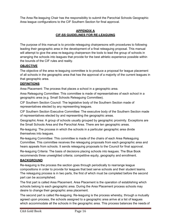The Area Re-leaguing Chair has the responsibility to submit the Parochial Schools Geographic Area league configurations to the CIF Southern Section for final approval.

#### **APPENDIX A CIF-SS GUIDELINES FOR RE-LEAGUING**

The purpose of this manual is to provide releaguing chairpersons with procedures to following leading their geographic area in the development of a final releaguing proposal. This manual will attempt to give the area re-leaguing chairperson the tools to lead the group of schools in arranging the schools into leagues that provide for the best athletic experience possible within the bounds of the CIF rules and reality.

#### **OBJECTIVE**

The objective of the area re-leaguing committee is to produce a proposal for league placement of all schools in the geographic area that has the approval of a majority of the current leagues in that geographic area.

#### **DEFINITIONS**

Area Placement: The process that places a school in a geographic area.

Area Releaguing Committee: This committee is made of representatives of each school in a geographic area (e.g. Small Schools Releaguing Committee).

CIF Southern Section Council: The legislative body of the Southern Section made of representatives elected by any representing leagues.

CIF Southern Section Executive Committee: The executive body of the Southern Section made of representatives elected by and representing the geographic areas.

Geographic Area: A group of schools usually grouped by geographic proximity. Exceptions are the Small Schools Area and the Parochial Area. There are ten geographic areas.

Re-leaguing: The process in which the schools in a particular geographic area divide themselves into leagues.

Re-leaguing Committee: This committee is made of the chairs of each Area Releaguing Committee. This committee receives the releaguing proposals from each geographic area and hears appeals from schools. It sends releaguing proposals to the Council for final approval.

Re-leaguing Criteria: The basis of decisions placing schools into leagues. The Blue Book recommends three unweighted criteria; competitive equity, geography and enrollment.

#### **BACKGROUND**

Re-leaguing is the process the section goes through periodically to rearrange league compositions in order to provide for leagues that best serve schools and their student teams. The releaguing process is in two parts, the first of which must be completed before the second part can be accomplished.

The first part is called Area Placement. Area Placement is the operation of establishing which schools belong to each geographic area. During the Area Placement process schools may desire to change their geographic area placement.

The second part is called Re-leaguing. Re-leaguing is the process whereby, through a mutually agreed upon process, the schools assigned to a geographic area arrive at a list of leagues which accommodate all the schools in the geographic area. This process balances the needs of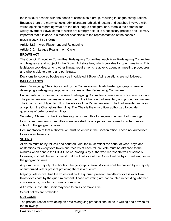the individual schools with the needs of schools as a group, resulting in league configurations.

Because there are many schools, administrators, athletic directors and coaches involved with varied opinions regarding what are the best league configurations, there is the potential for widely divergent views, some of which are strongly held. It is a necessary process and it is very important that it is done in a manner acceptable to the representatives of the schools.

#### **BLUE BOOK SECTIONS**

Article 32.5 – Area Placement and Releaguing

Article 512 – League Realignment Cycle

#### **BROWN ACT**

The Council, Executive Committee, Releaguing Committee, each Area Re-leaguing Committee and leagues are all subject to the Brown Act state law, which provides for open meetings. This legislation provides, among other things, requirements relative to agendas, meeting procedures and who is able to attend and participate.

Decisions by covered bodies may be invalidated if Brown Act regulations are not followed.

#### **PARTICIPANTS**

Area Re-leaguing Chair: Appointed by the Commissioner, leads his/her geographic area in developing a releaguing proposal and serves on the Re-leaguing Committee

Parliamentarian: Chosen by the Area Re-leaguing Committee to serve as a procedure resource. The parliamentarian serves as a resource to the Chair on parliamentary and procedural matters. The Chair is not obliged to follow the advice of the Parliamentarian. The Parliamentarian gives an opinion; the Chair gives the ruling. The Chair is the only officer authorized to decide questions of order or make rulings.

Secretary: Chosen by the Area Re-leaguing Committee to prepare minutes of all meetings.

Committee members: Committee members shall be one person authorized to vote from each school in the geographic area.

Documentation of that authorization must be on file in the Section office. Those not authorized to vote are observers.

#### **VOTING**

All votes must be by roll call and counted. Minutes must reflect the count of yeas, nays and abstentions for every vote taken and records of each roll call vote must be attached to the minutes when sent to the CIF-SS office. Voting is by authorized representatives of schools. However, it should be kept in mind that the final vote of the Council will be by current leagues in the geographic area.

A quorum is a majority of schools in the geographic area. Motions shall be passed by a majority of authorized voters present providing there is a quorum.

Majority vote is over half the votes cast by the quorum present. Two-thirds vote is over twothirds votes cast by the quorum present. Those not voting are not counted in deciding whether it is a majority, two-thirds or unanimous vote.

A tie vote is lost. The Chair may vote to break or make a tie.

Secret ballots are prohibited.

#### **OUTCOME**

The procedures for developing an area releaguing proposal should be in writing and provide for the following: